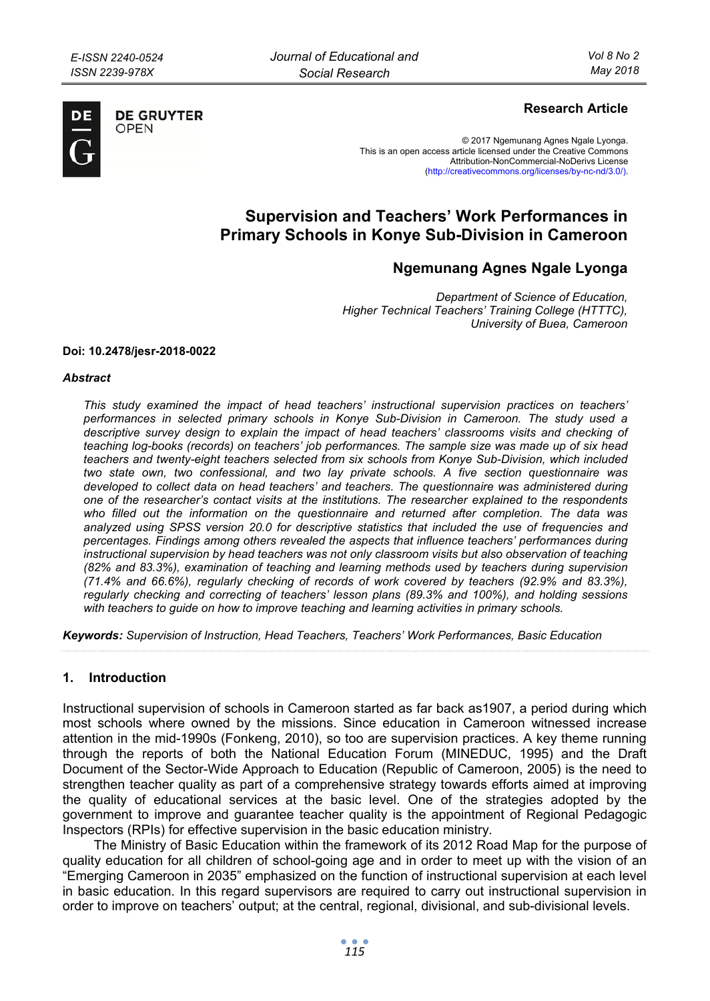

**DE GRUYTER** OPFN

## **Research Article**

© 2017 Ngemunang Agnes Ngale Lyonga. This is an open access article licensed under the Creative Commons Attribution-NonCommercial-NoDerivs License (http://creativecommons.org/licenses/by-nc-nd/3.0/).

# **Supervision and Teachers' Work Performances in Primary Schools in Konye Sub-Division in Cameroon**

# **Ngemunang Agnes Ngale Lyonga**

*Department of Science of Education, Higher Technical Teachers' Training College (HTTTC), University of Buea, Cameroon* 

#### **Doi: 10.2478/jesr-2018-0022**

#### *Abstract*

*This study examined the impact of head teachers' instructional supervision practices on teachers' performances in selected primary schools in Konye Sub-Division in Cameroon. The study used a descriptive survey design to explain the impact of head teachers' classrooms visits and checking of teaching log-books (records) on teachers' job performances. The sample size was made up of six head teachers and twenty-eight teachers selected from six schools from Konye Sub-Division, which included two state own, two confessional, and two lay private schools. A five section questionnaire was developed to collect data on head teachers' and teachers. The questionnaire was administered during one of the researcher's contact visits at the institutions. The researcher explained to the respondents who filled out the information on the questionnaire and returned after completion. The data was analyzed using SPSS version 20.0 for descriptive statistics that included the use of frequencies and percentages. Findings among others revealed the aspects that influence teachers' performances during instructional supervision by head teachers was not only classroom visits but also observation of teaching (82% and 83.3%), examination of teaching and learning methods used by teachers during supervision (71.4% and 66.6%), regularly checking of records of work covered by teachers (92.9% and 83.3%), regularly checking and correcting of teachers' lesson plans (89.3% and 100%), and holding sessions with teachers to guide on how to improve teaching and learning activities in primary schools.* 

*Keywords: Supervision of Instruction, Head Teachers, Teachers' Work Performances, Basic Education* 

#### **1. Introduction**

Instructional supervision of schools in Cameroon started as far back as1907, a period during which most schools where owned by the missions. Since education in Cameroon witnessed increase attention in the mid-1990s (Fonkeng, 2010), so too are supervision practices. A key theme running through the reports of both the National Education Forum (MINEDUC, 1995) and the Draft Document of the Sector-Wide Approach to Education (Republic of Cameroon, 2005) is the need to strengthen teacher quality as part of a comprehensive strategy towards efforts aimed at improving the quality of educational services at the basic level. One of the strategies adopted by the government to improve and guarantee teacher quality is the appointment of Regional Pedagogic Inspectors (RPIs) for effective supervision in the basic education ministry.

The Ministry of Basic Education within the framework of its 2012 Road Map for the purpose of quality education for all children of school-going age and in order to meet up with the vision of an "Emerging Cameroon in 2035" emphasized on the function of instructional supervision at each level in basic education. In this regard supervisors are required to carry out instructional supervision in order to improve on teachers' output; at the central, regional, divisional, and sub-divisional levels.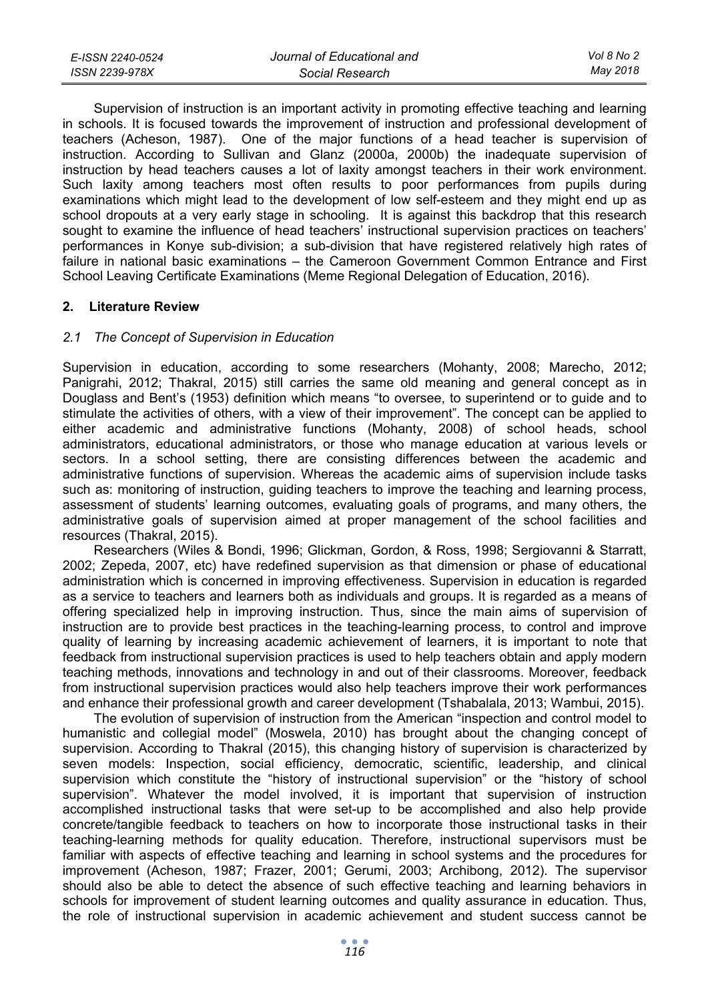| E-ISSN 2240-0524 | Journal of Educational and | Vol 8 No 2 |
|------------------|----------------------------|------------|
| ISSN 2239-978X   | Social Research            | Mav 2018   |

Supervision of instruction is an important activity in promoting effective teaching and learning in schools. It is focused towards the improvement of instruction and professional development of teachers (Acheson, 1987). One of the major functions of a head teacher is supervision of instruction. According to Sullivan and Glanz (2000a, 2000b) the inadequate supervision of instruction by head teachers causes a lot of laxity amongst teachers in their work environment. Such laxity among teachers most often results to poor performances from pupils during examinations which might lead to the development of low self-esteem and they might end up as school dropouts at a very early stage in schooling. It is against this backdrop that this research sought to examine the influence of head teachers' instructional supervision practices on teachers' performances in Konye sub-division; a sub-division that have registered relatively high rates of failure in national basic examinations – the Cameroon Government Common Entrance and First School Leaving Certificate Examinations (Meme Regional Delegation of Education, 2016).

#### **2. Literature Review**

### *2.1 The Concept of Supervision in Education*

Supervision in education, according to some researchers (Mohanty, 2008; Marecho, 2012; Panigrahi, 2012; Thakral, 2015) still carries the same old meaning and general concept as in Douglass and Bent's (1953) definition which means "to oversee, to superintend or to guide and to stimulate the activities of others, with a view of their improvement". The concept can be applied to either academic and administrative functions (Mohanty, 2008) of school heads, school administrators, educational administrators, or those who manage education at various levels or sectors. In a school setting, there are consisting differences between the academic and administrative functions of supervision. Whereas the academic aims of supervision include tasks such as: monitoring of instruction, guiding teachers to improve the teaching and learning process, assessment of students' learning outcomes, evaluating goals of programs, and many others, the administrative goals of supervision aimed at proper management of the school facilities and resources (Thakral, 2015).

Researchers (Wiles & Bondi, 1996; Glickman, Gordon, & Ross, 1998; Sergiovanni & Starratt, 2002; Zepeda, 2007, etc) have redefined supervision as that dimension or phase of educational administration which is concerned in improving effectiveness. Supervision in education is regarded as a service to teachers and learners both as individuals and groups. It is regarded as a means of offering specialized help in improving instruction. Thus, since the main aims of supervision of instruction are to provide best practices in the teaching-learning process, to control and improve quality of learning by increasing academic achievement of learners, it is important to note that feedback from instructional supervision practices is used to help teachers obtain and apply modern teaching methods, innovations and technology in and out of their classrooms. Moreover, feedback from instructional supervision practices would also help teachers improve their work performances and enhance their professional growth and career development (Tshabalala, 2013; Wambui, 2015).

The evolution of supervision of instruction from the American "inspection and control model to humanistic and collegial model" (Moswela, 2010) has brought about the changing concept of supervision. According to Thakral (2015), this changing history of supervision is characterized by seven models: Inspection, social efficiency, democratic, scientific, leadership, and clinical supervision which constitute the "history of instructional supervision" or the "history of school supervision". Whatever the model involved, it is important that supervision of instruction accomplished instructional tasks that were set-up to be accomplished and also help provide concrete/tangible feedback to teachers on how to incorporate those instructional tasks in their teaching-learning methods for quality education. Therefore, instructional supervisors must be familiar with aspects of effective teaching and learning in school systems and the procedures for improvement (Acheson, 1987; Frazer, 2001; Gerumi, 2003; Archibong, 2012). The supervisor should also be able to detect the absence of such effective teaching and learning behaviors in schools for improvement of student learning outcomes and quality assurance in education. Thus, the role of instructional supervision in academic achievement and student success cannot be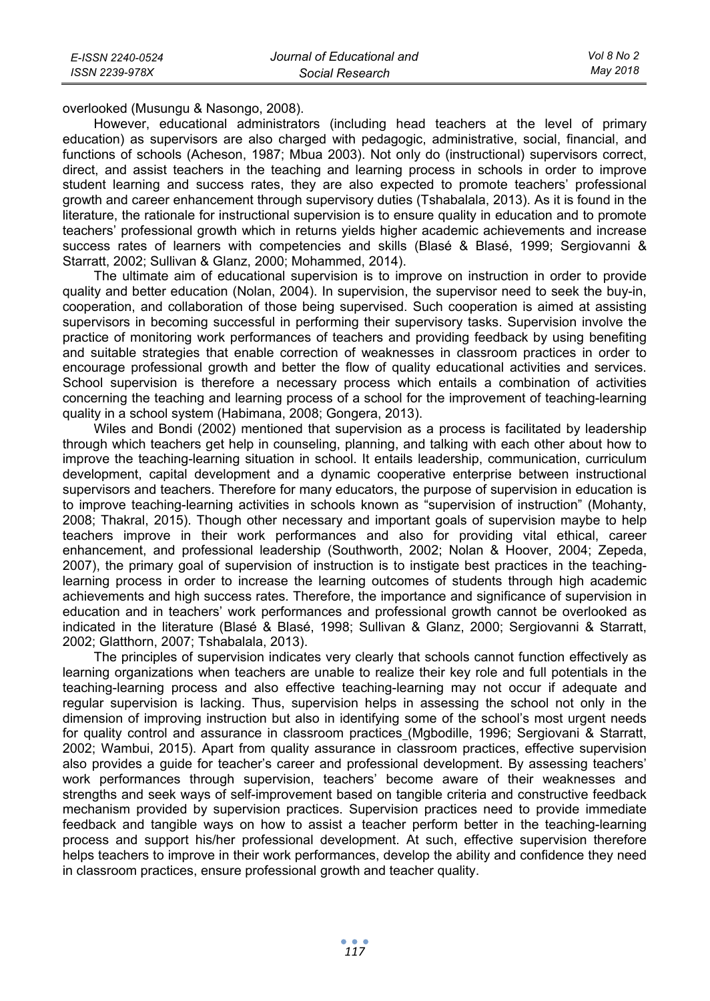overlooked (Musungu & Nasongo, 2008).

However, educational administrators (including head teachers at the level of primary education) as supervisors are also charged with pedagogic, administrative, social, financial, and functions of schools (Acheson, 1987; Mbua 2003). Not only do (instructional) supervisors correct, direct, and assist teachers in the teaching and learning process in schools in order to improve student learning and success rates, they are also expected to promote teachers' professional growth and career enhancement through supervisory duties (Tshabalala, 2013). As it is found in the literature, the rationale for instructional supervision is to ensure quality in education and to promote teachers' professional growth which in returns yields higher academic achievements and increase success rates of learners with competencies and skills (Blasé & Blasé, 1999; Sergiovanni & Starratt, 2002; Sullivan & Glanz, 2000; Mohammed, 2014).

The ultimate aim of educational supervision is to improve on instruction in order to provide quality and better education (Nolan, 2004). In supervision, the supervisor need to seek the buy-in, cooperation, and collaboration of those being supervised. Such cooperation is aimed at assisting supervisors in becoming successful in performing their supervisory tasks. Supervision involve the practice of monitoring work performances of teachers and providing feedback by using benefiting and suitable strategies that enable correction of weaknesses in classroom practices in order to encourage professional growth and better the flow of quality educational activities and services. School supervision is therefore a necessary process which entails a combination of activities concerning the teaching and learning process of a school for the improvement of teaching-learning quality in a school system (Habimana, 2008; Gongera, 2013).

Wiles and Bondi (2002) mentioned that supervision as a process is facilitated by leadership through which teachers get help in counseling, planning, and talking with each other about how to improve the teaching-learning situation in school. It entails leadership, communication, curriculum development, capital development and a dynamic cooperative enterprise between instructional supervisors and teachers. Therefore for many educators, the purpose of supervision in education is to improve teaching-learning activities in schools known as "supervision of instruction" (Mohanty, 2008; Thakral, 2015). Though other necessary and important goals of supervision maybe to help teachers improve in their work performances and also for providing vital ethical, career enhancement, and professional leadership (Southworth, 2002; Nolan & Hoover, 2004; Zepeda, 2007), the primary goal of supervision of instruction is to instigate best practices in the teachinglearning process in order to increase the learning outcomes of students through high academic achievements and high success rates. Therefore, the importance and significance of supervision in education and in teachers' work performances and professional growth cannot be overlooked as indicated in the literature (Blasé & Blasé, 1998; Sullivan & Glanz, 2000; Sergiovanni & Starratt, 2002; Glatthorn, 2007; Tshabalala, 2013).

The principles of supervision indicates very clearly that schools cannot function effectively as learning organizations when teachers are unable to realize their key role and full potentials in the teaching-learning process and also effective teaching-learning may not occur if adequate and regular supervision is lacking. Thus, supervision helps in assessing the school not only in the dimension of improving instruction but also in identifying some of the school's most urgent needs for quality control and assurance in classroom practices (Mgbodille, 1996; Sergiovani & Starratt, 2002; Wambui, 2015). Apart from quality assurance in classroom practices, effective supervision also provides a guide for teacher's career and professional development. By assessing teachers' work performances through supervision, teachers' become aware of their weaknesses and strengths and seek ways of self-improvement based on tangible criteria and constructive feedback mechanism provided by supervision practices. Supervision practices need to provide immediate feedback and tangible ways on how to assist a teacher perform better in the teaching-learning process and support his/her professional development. At such, effective supervision therefore helps teachers to improve in their work performances, develop the ability and confidence they need in classroom practices, ensure professional growth and teacher quality.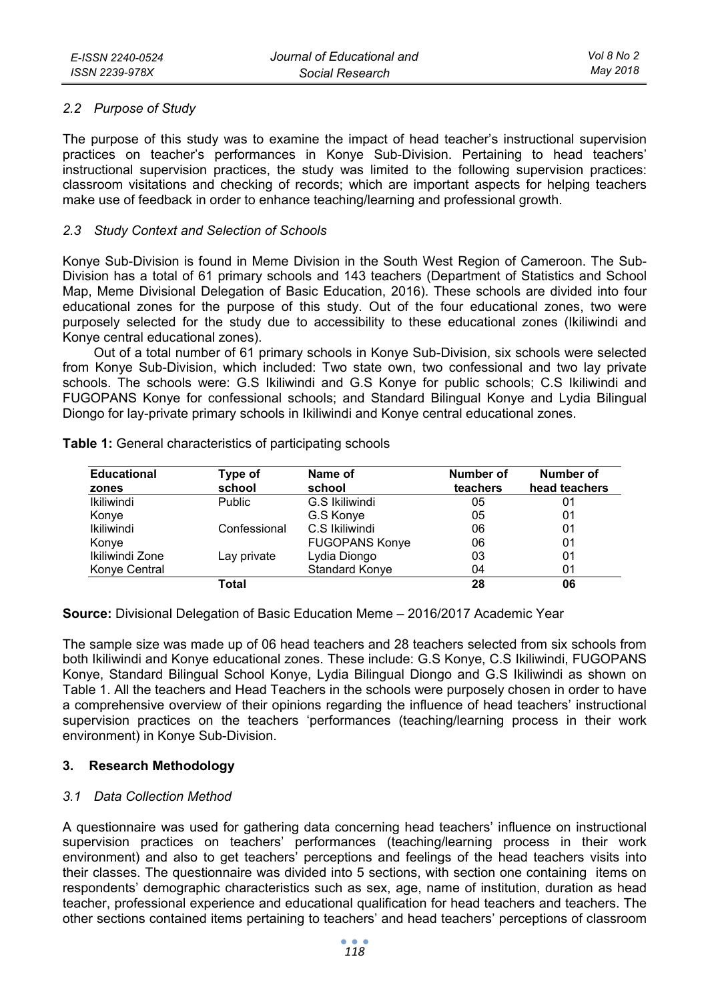### *2.2 Purpose of Study*

The purpose of this study was to examine the impact of head teacher's instructional supervision practices on teacher's performances in Konye Sub-Division. Pertaining to head teachers' instructional supervision practices, the study was limited to the following supervision practices: classroom visitations and checking of records; which are important aspects for helping teachers make use of feedback in order to enhance teaching/learning and professional growth.

### *2.3 Study Context and Selection of Schools*

Konye Sub-Division is found in Meme Division in the South West Region of Cameroon. The Sub-Division has a total of 61 primary schools and 143 teachers (Department of Statistics and School Map, Meme Divisional Delegation of Basic Education, 2016). These schools are divided into four educational zones for the purpose of this study. Out of the four educational zones, two were purposely selected for the study due to accessibility to these educational zones (Ikiliwindi and Konye central educational zones).

Out of a total number of 61 primary schools in Konye Sub-Division, six schools were selected from Konye Sub-Division, which included: Two state own, two confessional and two lay private schools. The schools were: G.S Ikiliwindi and G.S Konye for public schools; C.S Ikiliwindi and FUGOPANS Konye for confessional schools; and Standard Bilingual Konye and Lydia Bilingual Diongo for lay-private primary schools in Ikiliwindi and Konye central educational zones.

| <b>Educational</b><br>zones | Type of<br>school | Name of<br>school     | Number of<br>teachers | Number of<br>head teachers |
|-----------------------------|-------------------|-----------------------|-----------------------|----------------------------|
| Ikiliwindi                  | <b>Public</b>     | G.S Ikiliwindi        | 05                    | 01                         |
| Konye                       |                   | G.S Konye             | 05                    | 01                         |
| Ikiliwindi                  | Confessional      | C.S Ikiliwindi        | 06                    | 01                         |
| Konye                       |                   | <b>FUGOPANS Konye</b> | 06                    | 01                         |
| Ikiliwindi Zone             | Lay private       | Lydia Diongo          | 03                    | 01                         |
| Konye Central               |                   | <b>Standard Konye</b> | 04                    | 01                         |
|                             | Total             |                       | 28                    | 06                         |

**Table 1:** General characteristics of participating schools

**Source:** Divisional Delegation of Basic Education Meme – 2016/2017 Academic Year

The sample size was made up of 06 head teachers and 28 teachers selected from six schools from both Ikiliwindi and Konye educational zones. These include: G.S Konye, C.S Ikiliwindi, FUGOPANS Konye, Standard Bilingual School Konye, Lydia Bilingual Diongo and G.S Ikiliwindi as shown on Table 1. All the teachers and Head Teachers in the schools were purposely chosen in order to have a comprehensive overview of their opinions regarding the influence of head teachers' instructional supervision practices on the teachers 'performances (teaching/learning process in their work environment) in Konye Sub-Division.

### **3. Research Methodology**

### *3.1 Data Collection Method*

A questionnaire was used for gathering data concerning head teachers' influence on instructional supervision practices on teachers' performances (teaching/learning process in their work environment) and also to get teachers' perceptions and feelings of the head teachers visits into their classes. The questionnaire was divided into 5 sections, with section one containing items on respondents' demographic characteristics such as sex, age, name of institution, duration as head teacher, professional experience and educational qualification for head teachers and teachers. The other sections contained items pertaining to teachers' and head teachers' perceptions of classroom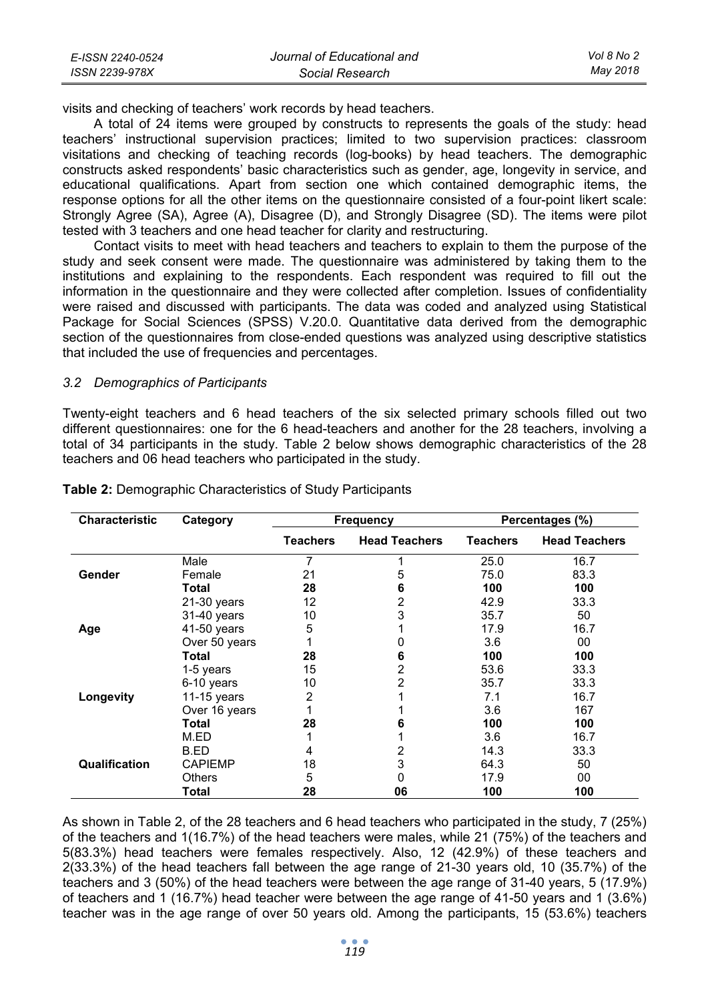| E-ISSN 2240-0524 | Journal of Educational and | Vol 8 No 2 |
|------------------|----------------------------|------------|
| ISSN 2239-978X   | Social Research            | Mav 2018   |

visits and checking of teachers' work records by head teachers.

A total of 24 items were grouped by constructs to represents the goals of the study: head teachers' instructional supervision practices; limited to two supervision practices: classroom visitations and checking of teaching records (log-books) by head teachers. The demographic constructs asked respondents' basic characteristics such as gender, age, longevity in service, and educational qualifications. Apart from section one which contained demographic items, the response options for all the other items on the questionnaire consisted of a four-point likert scale: Strongly Agree (SA), Agree (A), Disagree (D), and Strongly Disagree (SD). The items were pilot tested with 3 teachers and one head teacher for clarity and restructuring.

Contact visits to meet with head teachers and teachers to explain to them the purpose of the study and seek consent were made. The questionnaire was administered by taking them to the institutions and explaining to the respondents. Each respondent was required to fill out the information in the questionnaire and they were collected after completion. Issues of confidentiality were raised and discussed with participants. The data was coded and analyzed using Statistical Package for Social Sciences (SPSS) V.20.0. Quantitative data derived from the demographic section of the questionnaires from close-ended questions was analyzed using descriptive statistics that included the use of frequencies and percentages.

#### *3.2 Demographics of Participants*

Twenty-eight teachers and 6 head teachers of the six selected primary schools filled out two different questionnaires: one for the 6 head-teachers and another for the 28 teachers, involving a total of 34 participants in the study. Table 2 below shows demographic characteristics of the 28 teachers and 06 head teachers who participated in the study.

| <b>Characteristic</b> | Category       |                 | Frequency            |                 | Percentages (%)      |
|-----------------------|----------------|-----------------|----------------------|-----------------|----------------------|
|                       |                | <b>Teachers</b> | <b>Head Teachers</b> | <b>Teachers</b> | <b>Head Teachers</b> |
|                       | Male           |                 |                      | 25.0            | 16.7                 |
| Gender                | Female         | 21              | 5                    | 75.0            | 83.3                 |
|                       | Total          | 28              | 6                    | 100             | 100                  |
|                       | $21-30$ years  | 12              | 2                    | 42.9            | 33.3                 |
|                       | 31-40 years    | 10              | 3                    | 35.7            | 50                   |
| Age                   | 41-50 years    | 5               |                      | 17.9            | 16.7                 |
|                       | Over 50 years  |                 |                      | 3.6             | 00                   |
|                       | Total          | 28              | 6                    | 100             | 100                  |
|                       | 1-5 years      | 15              |                      | 53.6            | 33.3                 |
|                       | 6-10 years     | 10              | 2                    | 35.7            | 33.3                 |
| Longevity             | 11-15 years    | 2               |                      | 7.1             | 16.7                 |
|                       | Over 16 years  |                 |                      | 3.6             | 167                  |
|                       | Total          | 28              |                      | 100             | 100                  |
|                       | M.ED           |                 |                      | 3.6             | 16.7                 |
|                       | B.ED           | 4               |                      | 14.3            | 33.3                 |
| Qualification         | <b>CAPIEMP</b> | 18              | 3                    | 64.3            | 50                   |
|                       | Others         | 5               | 0                    | 17.9            | 00                   |
|                       | Total          | 28              | 06                   | 100             | 100                  |

**Table 2:** Demographic Characteristics of Study Participants

As shown in Table 2, of the 28 teachers and 6 head teachers who participated in the study, 7 (25%) of the teachers and 1(16.7%) of the head teachers were males, while 21 (75%) of the teachers and 5(83.3%) head teachers were females respectively. Also, 12 (42.9%) of these teachers and 2(33.3%) of the head teachers fall between the age range of 21-30 years old, 10 (35.7%) of the teachers and 3 (50%) of the head teachers were between the age range of 31-40 years, 5 (17.9%) of teachers and 1 (16.7%) head teacher were between the age range of 41-50 years and 1 (3.6%) teacher was in the age range of over 50 years old. Among the participants, 15 (53.6%) teachers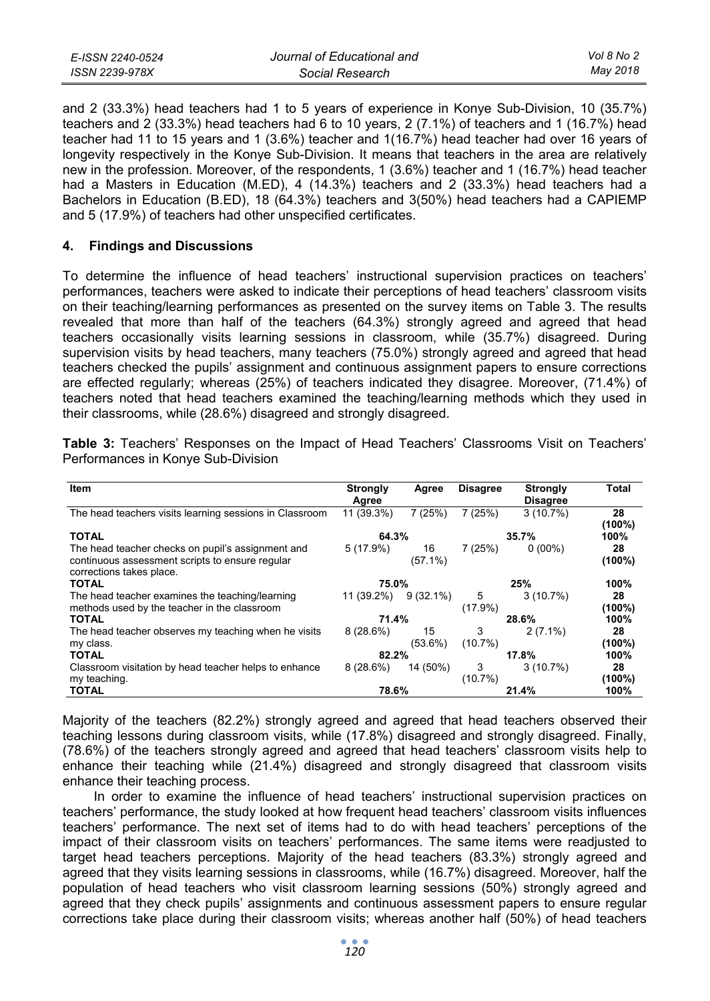| E-ISSN 2240-0524 | Journal of Educational and | Vol 8 No 2 |
|------------------|----------------------------|------------|
| ISSN 2239-978X   | Social Research            | May 2018   |

and 2 (33.3%) head teachers had 1 to 5 years of experience in Konye Sub-Division, 10 (35.7%) teachers and 2 (33.3%) head teachers had 6 to 10 years, 2 (7.1%) of teachers and 1 (16.7%) head teacher had 11 to 15 years and 1 (3.6%) teacher and 1(16.7%) head teacher had over 16 years of longevity respectively in the Konye Sub-Division. It means that teachers in the area are relatively new in the profession. Moreover, of the respondents, 1 (3.6%) teacher and 1 (16.7%) head teacher had a Masters in Education (M.ED), 4 (14.3%) teachers and 2 (33.3%) head teachers had a Bachelors in Education (B.ED), 18 (64.3%) teachers and 3(50%) head teachers had a CAPIEMP and 5 (17.9%) of teachers had other unspecified certificates.

#### **4. Findings and Discussions**

To determine the influence of head teachers' instructional supervision practices on teachers' performances, teachers were asked to indicate their perceptions of head teachers' classroom visits on their teaching/learning performances as presented on the survey items on Table 3. The results revealed that more than half of the teachers (64.3%) strongly agreed and agreed that head teachers occasionally visits learning sessions in classroom, while (35.7%) disagreed. During supervision visits by head teachers, many teachers (75.0%) strongly agreed and agreed that head teachers checked the pupils' assignment and continuous assignment papers to ensure corrections are effected regularly; whereas (25%) of teachers indicated they disagree. Moreover, (71.4%) of teachers noted that head teachers examined the teaching/learning methods which they used in their classrooms, while (28.6%) disagreed and strongly disagreed.

**Table 3:** Teachers' Responses on the Impact of Head Teachers' Classrooms Visit on Teachers' Performances in Konye Sub-Division

| Item                                                                                                 | Strongly<br>Agree | Agree            | <b>Disagree</b> | <b>Strongly</b><br><b>Disagree</b> | Total          |
|------------------------------------------------------------------------------------------------------|-------------------|------------------|-----------------|------------------------------------|----------------|
| The head teachers visits learning sessions in Classroom                                              | 11 (39.3%)        | 7(25%)           | 7(25%)          | 3(10.7%)                           | 28             |
| <b>TOTAL</b>                                                                                         | 64.3%             |                  |                 | 35.7%                              | (100%)<br>100% |
| The head teacher checks on pupil's assignment and<br>continuous assessment scripts to ensure regular | 5(17.9%)          | 16<br>$(57.1\%)$ | 7(25%)          | $0(00\%)$                          | 28<br>(100%)   |
| corrections takes place.<br><b>TOTAL</b>                                                             | 75.0%             |                  |                 | 25%                                | 100%           |
| The head teacher examines the teaching/learning<br>methods used by the teacher in the classroom      | 11 (39.2%)        | $9(32.1\%)$      | 5<br>(17.9%)    | 3(10.7%)                           | 28<br>(100%)   |
| <b>TOTAL</b>                                                                                         | 71.4%             |                  |                 | 28.6%                              | 100%           |
| The head teacher observes my teaching when he visits<br>my class.                                    | $8(28.6\%)$       | 15<br>$(53.6\%)$ | 3<br>(10.7%)    | $2(7.1\%)$                         | 28<br>(100%)   |
| <b>TOTAL</b>                                                                                         | 82.2%             |                  |                 | 17.8%                              | 100%           |
| Classroom visitation by head teacher helps to enhance                                                | $8(28.6\%)$       | 14 (50%)         | 3               | 3(10.7%)                           | 28             |
| my teaching.                                                                                         |                   |                  | (10.7%)         |                                    | (100%)         |
| <b>TOTAL</b>                                                                                         | 78.6%             |                  |                 | 21.4%                              | 100%           |

Majority of the teachers (82.2%) strongly agreed and agreed that head teachers observed their teaching lessons during classroom visits, while (17.8%) disagreed and strongly disagreed. Finally, (78.6%) of the teachers strongly agreed and agreed that head teachers' classroom visits help to enhance their teaching while (21.4%) disagreed and strongly disagreed that classroom visits enhance their teaching process.

In order to examine the influence of head teachers' instructional supervision practices on teachers' performance, the study looked at how frequent head teachers' classroom visits influences teachers' performance. The next set of items had to do with head teachers' perceptions of the impact of their classroom visits on teachers' performances. The same items were readjusted to target head teachers perceptions. Majority of the head teachers (83.3%) strongly agreed and agreed that they visits learning sessions in classrooms, while (16.7%) disagreed. Moreover, half the population of head teachers who visit classroom learning sessions (50%) strongly agreed and agreed that they check pupils' assignments and continuous assessment papers to ensure regular corrections take place during their classroom visits; whereas another half (50%) of head teachers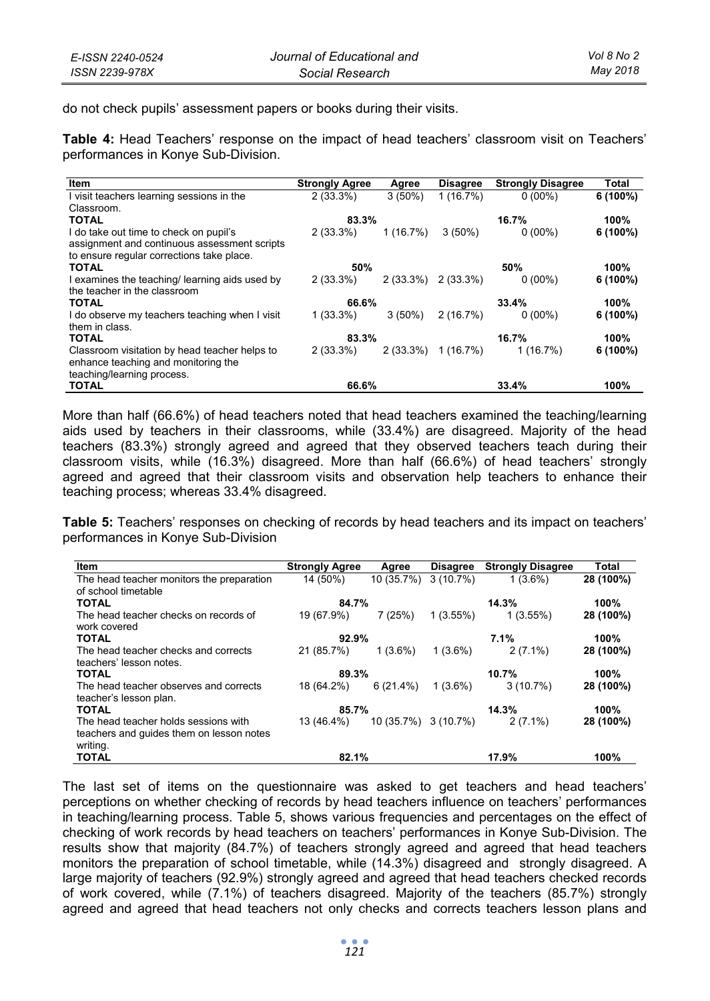do not check pupils' assessment papers or books during their visits.

**Table 4:** Head Teachers' response on the impact of head teachers' classroom visit on Teachers' performances in Konye Sub-Division.

| Item                                           | <b>Strongly Agree</b> | Agree       | <b>Disagree</b> | <b>Strongly Disagree</b> | Total      |
|------------------------------------------------|-----------------------|-------------|-----------------|--------------------------|------------|
| I visit teachers learning sessions in the      | $2(33.3\%)$           | $3(50\%)$   | 1(16.7%)        | $0(00\%)$                | $6(100\%)$ |
| Classroom.                                     |                       |             |                 |                          |            |
| <b>TOTAL</b>                                   | 83.3%                 |             |                 | 16.7%                    | 100%       |
| I do take out time to check on pupil's         | $2(33.3\%)$           | 1(16.7%)    | $3(50\%)$       | $0(00\%)$                | $6(100\%)$ |
| assignment and continuous assessment scripts   |                       |             |                 |                          |            |
| to ensure regular corrections take place.      |                       |             |                 |                          |            |
| <b>TOTAL</b>                                   | 50%                   |             |                 | 50%                      | 100%       |
| I examines the teaching/ learning aids used by | $2(33.3\%)$           | $2(33.3\%)$ | $2(33.3\%)$     | $0(00\%)$                | $6(100\%)$ |
| the teacher in the classroom                   |                       |             |                 |                          |            |
| <b>TOTAL</b>                                   | 66.6%                 |             |                 | 33.4%                    | 100%       |
| I do observe my teachers teaching when I visit | $1(33.3\%)$           | $3(50\%)$   | 2(16.7%)        | $0(00\%)$                | $6(100\%)$ |
| them in class.                                 |                       |             |                 |                          |            |
| <b>TOTAL</b>                                   | 83.3%                 |             |                 | 16.7%                    | 100%       |
| Classroom visitation by head teacher helps to  | $2(33.3\%)$           | $2(33.3\%)$ | 1(16.7%)        | 1(16.7%)                 | $6(100\%)$ |
| enhance teaching and monitoring the            |                       |             |                 |                          |            |
| teaching/learning process.                     |                       |             |                 |                          |            |
| <b>TOTAL</b>                                   | 66.6%                 |             |                 | 33.4%                    | 100%       |

More than half (66.6%) of head teachers noted that head teachers examined the teaching/learning aids used by teachers in their classrooms, while (33.4%) are disagreed. Majority of the head teachers (83.3%) strongly agreed and agreed that they observed teachers teach during their classroom visits, while (16.3%) disagreed. More than half (66.6%) of head teachers' strongly agreed and agreed that their classroom visits and observation help teachers to enhance their teaching process; whereas 33.4% disagreed.

**Table 5:** Teachers' responses on checking of records by head teachers and its impact on teachers' performances in Konye Sub-Division

| Item                                                             | <b>Strongly Agree</b> | Agree                | <b>Disagree</b> | <b>Strongly Disagree</b> | Total     |
|------------------------------------------------------------------|-----------------------|----------------------|-----------------|--------------------------|-----------|
| The head teacher monitors the preparation                        | 14 (50%)              | 10 (35.7%)           | 3(10.7%)        | $1(3.6\%)$               | 28 (100%) |
| of school timetable                                              |                       |                      |                 |                          |           |
| <b>TOTAL</b>                                                     | 84.7%                 |                      |                 | 14.3%                    | 100%      |
| The head teacher checks on records of<br>work covered            | 19 (67.9%)            | 7(25%)               | 1(3.55%)        | 1(3.55%)                 | 28 (100%) |
| <b>TOTAL</b>                                                     | 92.9%                 |                      |                 | 7.1%                     | 100%      |
| The head teacher checks and corrects<br>teachers' lesson notes.  | 21 (85.7%)            | $1(3.6\%)$           | $1(3.6\%)$      | $2(7.1\%)$               | 28 (100%) |
| <b>TOTAL</b>                                                     | 89.3%                 |                      |                 | 10.7%                    | 100%      |
| The head teacher observes and corrects<br>teacher's lesson plan. | 18 (64.2%)            | $6(21.4\%)$          | $1(3.6\%)$      | $3(10.7\%)$              | 28 (100%) |
| <b>TOTAL</b>                                                     | 85.7%                 |                      |                 | 14.3%                    | 100%      |
| The head teacher holds sessions with                             | 13 (46.4%)            | 10 (35.7%) 3 (10.7%) |                 | $2(7.1\%)$               | 28 (100%) |
| teachers and quides them on lesson notes<br>writing.             |                       |                      |                 |                          |           |
| <b>TOTAL</b>                                                     | 82.1%                 |                      |                 | 17.9%                    | 100%      |

The last set of items on the questionnaire was asked to get teachers and head teachers' perceptions on whether checking of records by head teachers influence on teachers' performances in teaching/learning process. Table 5, shows various frequencies and percentages on the effect of checking of work records by head teachers on teachers' performances in Konye Sub-Division. The results show that majority (84.7%) of teachers strongly agreed and agreed that head teachers monitors the preparation of school timetable, while (14.3%) disagreed and strongly disagreed. A large majority of teachers (92.9%) strongly agreed and agreed that head teachers checked records of work covered, while (7.1%) of teachers disagreed. Majority of the teachers (85.7%) strongly agreed and agreed that head teachers not only checks and corrects teachers lesson plans and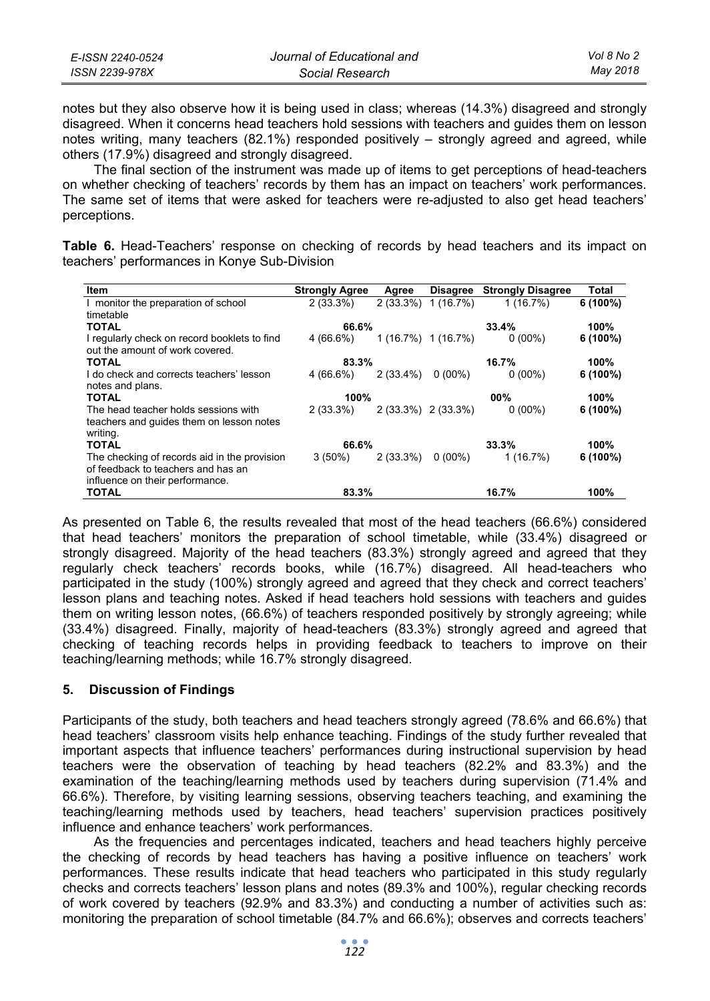| E-ISSN 2240-0524 | Journal of Educational and | Vol 8 No 2 |
|------------------|----------------------------|------------|
| ISSN 2239-978X   | Social Research            | May 2018   |

notes but they also observe how it is being used in class; whereas (14.3%) disagreed and strongly disagreed. When it concerns head teachers hold sessions with teachers and guides them on lesson notes writing, many teachers (82.1%) responded positively – strongly agreed and agreed, while others (17.9%) disagreed and strongly disagreed.

The final section of the instrument was made up of items to get perceptions of head-teachers on whether checking of teachers' records by them has an impact on teachers' work performances. The same set of items that were asked for teachers were re-adjusted to also get head teachers' perceptions.

**Table 6.** Head-Teachers' response on checking of records by head teachers and its impact on teachers' performances in Konye Sub-Division

| Item                                                                                                                  | <b>Strongly Agree</b> | Agree       | <b>Disagree</b>       | <b>Strongly Disagree</b> | Total      |
|-----------------------------------------------------------------------------------------------------------------------|-----------------------|-------------|-----------------------|--------------------------|------------|
| I monitor the preparation of school                                                                                   | $2(33.3\%)$           | $2(33.3\%)$ | 1(16.7%)              | 1(16.7%)                 | $6(100\%)$ |
| timetable                                                                                                             |                       |             |                       |                          |            |
| <b>TOTAL</b>                                                                                                          | 66.6%                 |             |                       | 33.4%                    | 100%       |
| I regularly check on record booklets to find<br>out the amount of work covered.                                       | $4(66.6\%)$           |             | $1(16.7\%)$ 1 (16.7%) | $0(00\%)$                | $6(100\%)$ |
| <b>TOTAL</b>                                                                                                          | 83.3%                 |             |                       | 16.7%                    | 100%       |
| I do check and corrects teachers' lesson<br>notes and plans.                                                          | $4(66.6\%)$           | $2(33.4\%)$ | $0(00\%)$             | $0(00\%)$                | $6(100\%)$ |
| <b>TOTAL</b>                                                                                                          | 100%                  |             |                       | 00%                      | 100%       |
| The head teacher holds sessions with<br>teachers and quides them on lesson notes<br>writing.                          | $2(33.3\%)$           |             | 2 (33.3%) 2 (33.3%)   | $0(00\%)$                | $6(100\%)$ |
| <b>TOTAL</b>                                                                                                          | 66.6%                 |             |                       | 33.3%                    | 100%       |
| The checking of records aid in the provision<br>of feedback to teachers and has an<br>influence on their performance. | $3(50\%)$             | $2(33.3\%)$ | $0(00\%)$             | 1(16.7%)                 | $6(100\%)$ |
| <b>TOTAL</b>                                                                                                          | 83.3%                 |             |                       | 16.7%                    | 100%       |

As presented on Table 6, the results revealed that most of the head teachers (66.6%) considered that head teachers' monitors the preparation of school timetable, while (33.4%) disagreed or strongly disagreed. Majority of the head teachers (83.3%) strongly agreed and agreed that they regularly check teachers' records books, while (16.7%) disagreed. All head-teachers who participated in the study (100%) strongly agreed and agreed that they check and correct teachers' lesson plans and teaching notes. Asked if head teachers hold sessions with teachers and guides them on writing lesson notes, (66.6%) of teachers responded positively by strongly agreeing; while (33.4%) disagreed. Finally, majority of head-teachers (83.3%) strongly agreed and agreed that checking of teaching records helps in providing feedback to teachers to improve on their teaching/learning methods; while 16.7% strongly disagreed.

### **5. Discussion of Findings**

Participants of the study, both teachers and head teachers strongly agreed (78.6% and 66.6%) that head teachers' classroom visits help enhance teaching. Findings of the study further revealed that important aspects that influence teachers' performances during instructional supervision by head teachers were the observation of teaching by head teachers (82.2% and 83.3%) and the examination of the teaching/learning methods used by teachers during supervision (71.4% and 66.6%). Therefore, by visiting learning sessions, observing teachers teaching, and examining the teaching/learning methods used by teachers, head teachers' supervision practices positively influence and enhance teachers' work performances.

As the frequencies and percentages indicated, teachers and head teachers highly perceive the checking of records by head teachers has having a positive influence on teachers' work performances. These results indicate that head teachers who participated in this study regularly checks and corrects teachers' lesson plans and notes (89.3% and 100%), regular checking records of work covered by teachers (92.9% and 83.3%) and conducting a number of activities such as: monitoring the preparation of school timetable (84.7% and 66.6%); observes and corrects teachers'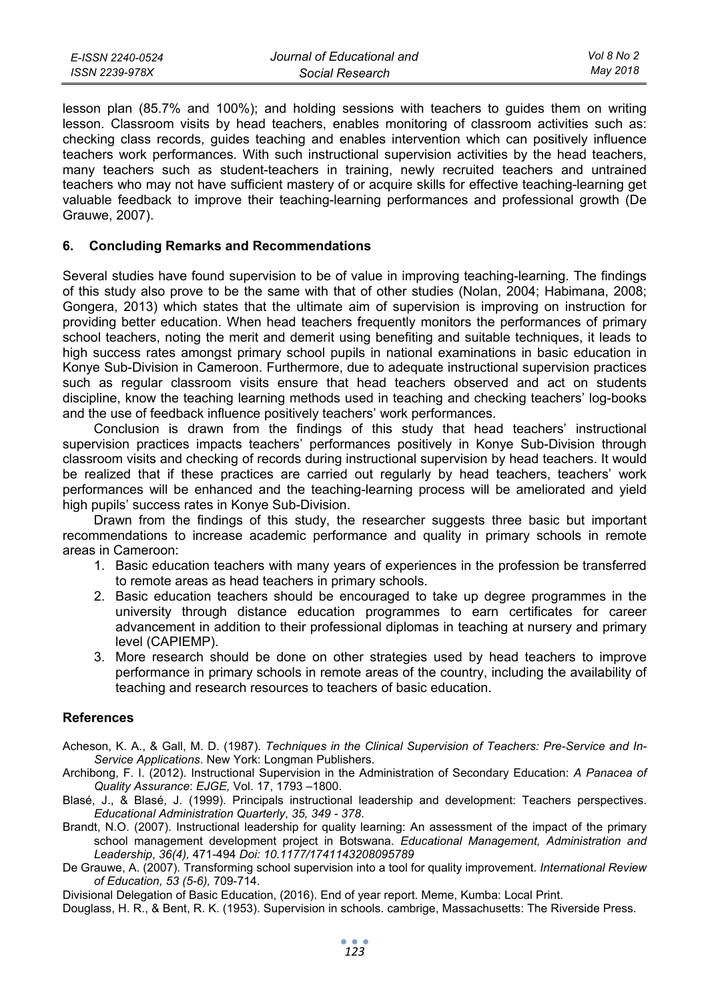lesson plan (85.7% and 100%); and holding sessions with teachers to guides them on writing lesson. Classroom visits by head teachers, enables monitoring of classroom activities such as: checking class records, guides teaching and enables intervention which can positively influence teachers work performances. With such instructional supervision activities by the head teachers, many teachers such as student-teachers in training, newly recruited teachers and untrained teachers who may not have sufficient mastery of or acquire skills for effective teaching-learning get valuable feedback to improve their teaching-learning performances and professional growth (De Grauwe, 2007).

### **6. Concluding Remarks and Recommendations**

Several studies have found supervision to be of value in improving teaching-learning. The findings of this study also prove to be the same with that of other studies (Nolan, 2004; Habimana, 2008; Gongera, 2013) which states that the ultimate aim of supervision is improving on instruction for providing better education. When head teachers frequently monitors the performances of primary school teachers, noting the merit and demerit using benefiting and suitable techniques, it leads to high success rates amongst primary school pupils in national examinations in basic education in Konye Sub-Division in Cameroon. Furthermore, due to adequate instructional supervision practices such as regular classroom visits ensure that head teachers observed and act on students discipline, know the teaching learning methods used in teaching and checking teachers' log-books and the use of feedback influence positively teachers' work performances.

Conclusion is drawn from the findings of this study that head teachers' instructional supervision practices impacts teachers' performances positively in Konye Sub-Division through classroom visits and checking of records during instructional supervision by head teachers. It would be realized that if these practices are carried out regularly by head teachers, teachers' work performances will be enhanced and the teaching-learning process will be ameliorated and yield high pupils' success rates in Konye Sub-Division.

Drawn from the findings of this study, the researcher suggests three basic but important recommendations to increase academic performance and quality in primary schools in remote areas in Cameroon:

- 1. Basic education teachers with many years of experiences in the profession be transferred to remote areas as head teachers in primary schools.
- 2. Basic education teachers should be encouraged to take up degree programmes in the university through distance education programmes to earn certificates for career advancement in addition to their professional diplomas in teaching at nursery and primary level (CAPIEMP).
- 3. More research should be done on other strategies used by head teachers to improve performance in primary schools in remote areas of the country, including the availability of teaching and research resources to teachers of basic education.

#### **References**

- Acheson, K. A., & Gall, M. D. (1987). *Techniques in the Clinical Supervision of Teachers: Pre-Service and In-Service Applications*. New York: Longman Publishers.
- Archibong, F. I. (2012). Instructional Supervision in the Administration of Secondary Education: *A Panacea of Quality Assurance*: *EJGE,* Vol. 17, 1793 –1800.
- Blasé, J., & Blasé, J. (1999). Principals instructional leadership and development: Teachers perspectives. *Educational Administration Quarterly*, *35, 349 - 378*.
- Brandt, N.O. (2007). Instructional leadership for quality learning: An assessment of the impact of the primary school management development project in Botswana. *Educational Management, Administration and Leadership*, *36(4),* 471-494 *Doi: 10.1177/1741143208095789*
- De Grauwe, A. (2007). Transforming school supervision into a tool for quality improvement. *International Review of Education, 53 (5-6),* 709-714.
- Divisional Delegation of Basic Education, (2016). End of year report. Meme, Kumba: Local Print.
- Douglass, H. R., & Bent, R. K. (1953). Supervision in schools. cambrige, Massachusetts: The Riverside Press.